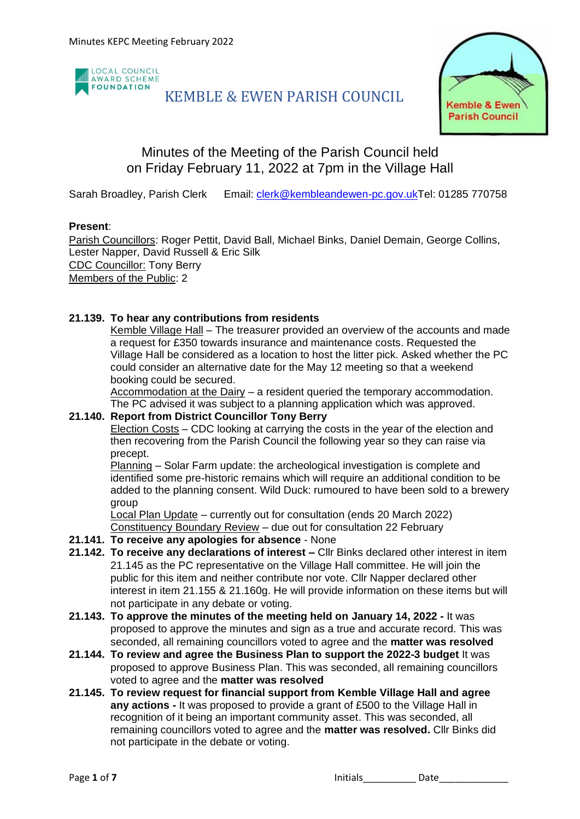

# KEMBLE & EWEN PARISH COUNCIL



# Minutes of the Meeting of the Parish Council held on Friday February 11, 2022 at 7pm in the Village Hall

Sarah Broadley, Parish Clerk Email: [clerk@kembleandewen-pc.gov.ukT](mailto:clerk@kembleandewen-pc.gov.uk)el: 01285 770758

#### **Present**:

Parish Councillors: Roger Pettit, David Ball, Michael Binks, Daniel Demain, George Collins, Lester Napper, David Russell & Eric Silk CDC Councillor: Tony Berry Members of the Public: 2

### **21.139. To hear any contributions from residents**

Kemble Village Hall – The treasurer provided an overview of the accounts and made a request for £350 towards insurance and maintenance costs. Requested the Village Hall be considered as a location to host the litter pick. Asked whether the PC could consider an alternative date for the May 12 meeting so that a weekend booking could be secured.

Accommodation at the Dairy – a resident queried the temporary accommodation. The PC advised it was subject to a planning application which was approved.

#### **21.140. Report from District Councillor Tony Berry**

Election Costs – CDC looking at carrying the costs in the year of the election and then recovering from the Parish Council the following year so they can raise via precept.

Planning – Solar Farm update: the archeological investigation is complete and identified some pre-historic remains which will require an additional condition to be added to the planning consent. Wild Duck: rumoured to have been sold to a brewery group

Local Plan Update – currently out for consultation (ends 20 March 2022) Constituency Boundary Review – due out for consultation 22 February

- **21.141. To receive any apologies for absence** None
- **21.142. To receive any declarations of interest –** Cllr Binks declared other interest in item 21.145 as the PC representative on the Village Hall committee. He will join the public for this item and neither contribute nor vote. Cllr Napper declared other interest in item 21.155 & 21.160g. He will provide information on these items but will not participate in any debate or voting.
- **21.143. To approve the minutes of the meeting held on January 14, 2022 -** It was proposed to approve the minutes and sign as a true and accurate record. This was seconded, all remaining councillors voted to agree and the **matter was resolved**
- **21.144. To review and agree the Business Plan to support the 2022-3 budget** It was proposed to approve Business Plan. This was seconded, all remaining councillors voted to agree and the **matter was resolved**
- **21.145. To review request for financial support from Kemble Village Hall and agree any actions -** It was proposed to provide a grant of £500 to the Village Hall in recognition of it being an important community asset. This was seconded, all remaining councillors voted to agree and the **matter was resolved.** Cllr Binks did not participate in the debate or voting.

Page 1 of 7 **Initials 1 Initials Initials Date**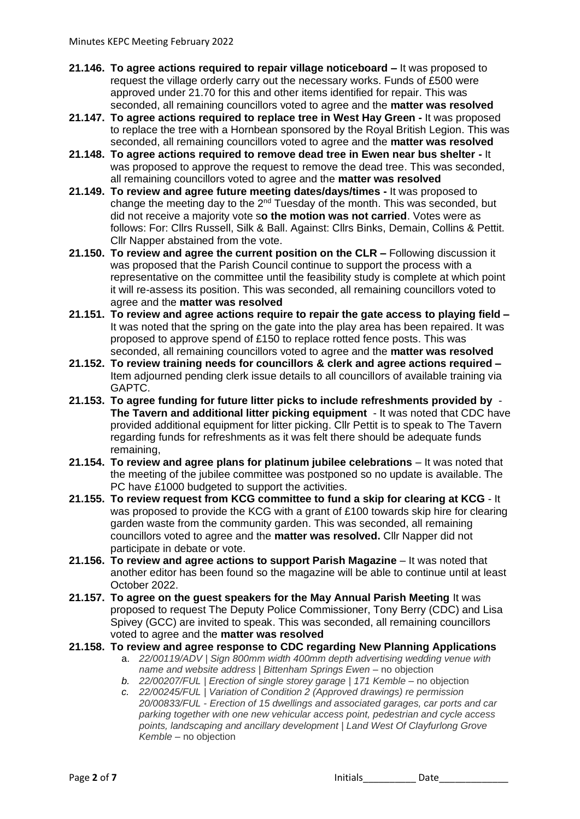- **21.146. To agree actions required to repair village noticeboard –** It was proposed to request the village orderly carry out the necessary works. Funds of £500 were approved under 21.70 for this and other items identified for repair. This was seconded, all remaining councillors voted to agree and the **matter was resolved**
- **21.147. To agree actions required to replace tree in West Hay Green -** It was proposed to replace the tree with a Hornbean sponsored by the Royal British Legion. This was seconded, all remaining councillors voted to agree and the **matter was resolved**
- **21.148. To agree actions required to remove dead tree in Ewen near bus shelter -** It was proposed to approve the request to remove the dead tree. This was seconded, all remaining councillors voted to agree and the **matter was resolved**
- **21.149. To review and agree future meeting dates/days/times -** It was proposed to change the meeting day to the  $2^{nd}$  Tuesday of the month. This was seconded, but did not receive a majority vote s**o the motion was not carried**. Votes were as follows: For: Cllrs Russell, Silk & Ball. Against: Cllrs Binks, Demain, Collins & Pettit. Cllr Napper abstained from the vote.
- **21.150. To review and agree the current position on the CLR –** Following discussion it was proposed that the Parish Council continue to support the process with a representative on the committee until the feasibility study is complete at which point it will re-assess its position. This was seconded, all remaining councillors voted to agree and the **matter was resolved**
- **21.151. To review and agree actions require to repair the gate access to playing field –** It was noted that the spring on the gate into the play area has been repaired. It was proposed to approve spend of £150 to replace rotted fence posts. This was seconded, all remaining councillors voted to agree and the **matter was resolved**
- **21.152. To review training needs for councillors & clerk and agree actions required –** Item adjourned pending clerk issue details to all councillors of available training via GAPTC.
- **21.153. To agree funding for future litter picks to include refreshments provided by The Tavern and additional litter picking equipment** - It was noted that CDC have provided additional equipment for litter picking. Cllr Pettit is to speak to The Tavern regarding funds for refreshments as it was felt there should be adequate funds remaining,
- **21.154. To review and agree plans for platinum jubilee celebrations** It was noted that the meeting of the jubilee committee was postponed so no update is available. The PC have £1000 budgeted to support the activities.
- **21.155. To review request from KCG committee to fund a skip for clearing at KCG** It was proposed to provide the KCG with a grant of £100 towards skip hire for clearing garden waste from the community garden. This was seconded, all remaining councillors voted to agree and the **matter was resolved.** Cllr Napper did not participate in debate or vote.
- **21.156. To review and agree actions to support Parish Magazine** It was noted that another editor has been found so the magazine will be able to continue until at least October 2022.
- **21.157. To agree on the guest speakers for the May Annual Parish Meeting** It was proposed to request The Deputy Police Commissioner, Tony Berry (CDC) and Lisa Spivey (GCC) are invited to speak. This was seconded, all remaining councillors voted to agree and the **matter was resolved**

## **21.158. To review and agree response to CDC regarding New Planning Applications**

- a. *22/00119/ADV | Sign 800mm width 400mm depth advertising wedding venue with name and website address | Bittenham Springs Ewen* – no objection
	- *b. 22/00207/FUL | Erection of single storey garage | 171 Kemble* no objection
	- *c. 22/00245/FUL | Variation of Condition 2 (Approved drawings) re permission 20/00833/FUL - Erection of 15 dwellings and associated garages, car ports and car parking together with one new vehicular access point, pedestrian and cycle access points, landscaping and ancillary development | Land West Of Clayfurlong Grove Kemble* – no objection

Page **2** of **7** Initials\_\_\_\_\_\_\_\_\_\_ Date\_\_\_\_\_\_\_\_\_\_\_\_\_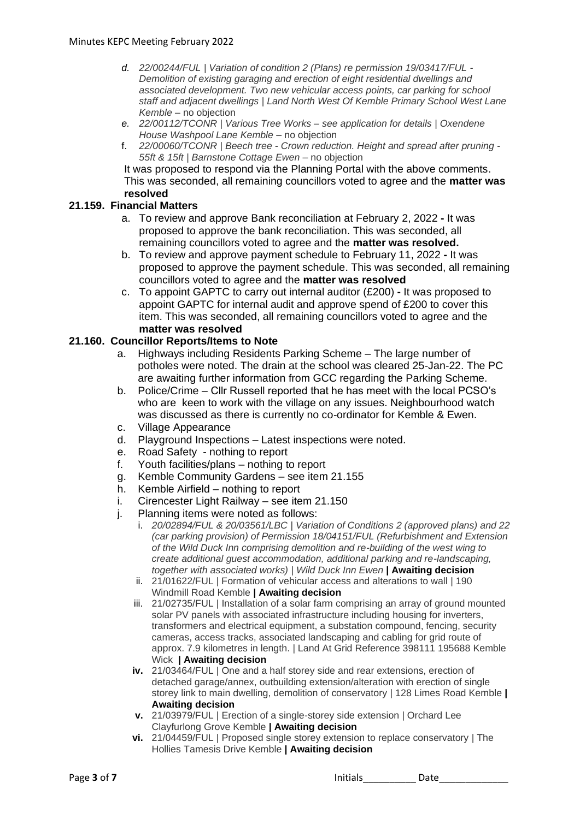- *d. 22/00244/FUL | Variation of condition 2 (Plans) re permission 19/03417/FUL - Demolition of existing garaging and erection of eight residential dwellings and associated development. Two new vehicular access points, car parking for school staff and adjacent dwellings | Land North West Of Kemble Primary School West Lane Kemble* – no objection
- *e. 22/00112/TCONR | Various Tree Works – see application for details | Oxendene House Washpool Lane Kemble* – no objection
- f. *22/00060/TCONR | Beech tree - Crown reduction. Height and spread after pruning - 55ft & 15ft | Barnstone Cottage Ewen* – no objection

It was proposed to respond via the Planning Portal with the above comments. This was seconded, all remaining councillors voted to agree and the **matter was resolved**

### **21.159. Financial Matters**

- a. To review and approve Bank reconciliation at February 2, 2022 **-** It was proposed to approve the bank reconciliation. This was seconded, all remaining councillors voted to agree and the **matter was resolved.**
- b. To review and approve payment schedule to February 11, 2022 **-** It was proposed to approve the payment schedule. This was seconded, all remaining councillors voted to agree and the **matter was resolved**
- c. To appoint GAPTC to carry out internal auditor (£200) **-** It was proposed to appoint GAPTC for internal audit and approve spend of £200 to cover this item. This was seconded, all remaining councillors voted to agree and the **matter was resolved**

### **21.160. Councillor Reports/Items to Note**

- a. Highways including Residents Parking Scheme The large number of potholes were noted. The drain at the school was cleared 25-Jan-22. The PC are awaiting further information from GCC regarding the Parking Scheme.
- b. Police/Crime Cllr Russell reported that he has meet with the local PCSO's who are keen to work with the village on any issues. Neighbourhood watch was discussed as there is currently no co-ordinator for Kemble & Ewen.
- c. Village Appearance
- d. Playground Inspections Latest inspections were noted.
- e. Road Safety nothing to report
- f. Youth facilities/plans nothing to report
- g. Kemble Community Gardens see item 21.155
- h. Kemble Airfield nothing to report
- i. Cirencester Light Railway see item 21.150
- j. Planning items were noted as follows:
	- i. *20/02894/FUL & 20/03561/LBC | Variation of Conditions 2 (approved plans) and 22 (car parking provision) of Permission 18/04151/FUL (Refurbishment and Extension of the Wild Duck Inn comprising demolition and re-building of the west wing to create additional guest accommodation, additional parking and re-landscaping, together with associated works) | Wild Duck Inn Ewen* **| Awaiting decision**
	- ii. 21/01622/FUL | Formation of vehicular access and alterations to wall | 190 Windmill Road Kemble **| Awaiting decision**
	- iii. 21/02735/FUL | Installation of a solar farm comprising an array of ground mounted solar PV panels with associated infrastructure including housing for inverters. transformers and electrical equipment, a substation compound, fencing, security cameras, access tracks, associated landscaping and cabling for grid route of approx. 7.9 kilometres in length. | Land At Grid Reference 398111 195688 Kemble Wick **| Awaiting decision**
	- **iv.** 21/03464/FUL | One and a half storey side and rear extensions, erection of detached garage/annex, outbuilding extension/alteration with erection of single storey link to main dwelling, demolition of conservatory | 128 Limes Road Kemble **| Awaiting decision**
	- **v.** 21/03979/FUL | Erection of a single-storey side extension | Orchard Lee Clayfurlong Grove Kemble **| Awaiting decision**
	- **vi.** 21/04459/FUL | Proposed single storey extension to replace conservatory | The Hollies Tamesis Drive Kemble **| Awaiting decision**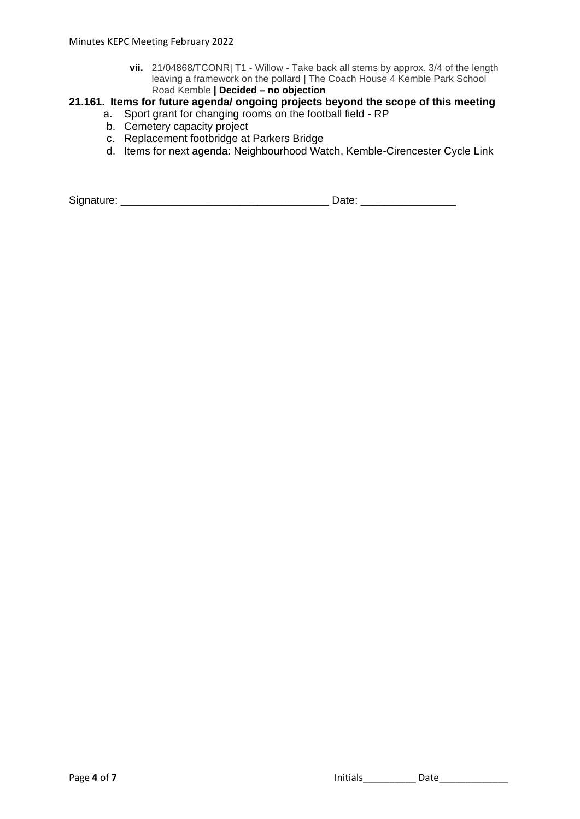**vii.** 21/04868/TCONR| T1 - Willow - Take back all stems by approx. 3/4 of the length leaving a framework on the pollard | The Coach House 4 Kemble Park School Road Kemble **| Decided – no objection**

# **21.161. Items for future agenda/ ongoing projects beyond the scope of this meeting**

- a. Sport grant for changing rooms on the football field RP
	- b. Cemetery capacity project
- c. Replacement footbridge at Parkers Bridge
- d. Items for next agenda: Neighbourhood Watch, Kemble-Cirencester Cycle Link

Signature: \_\_\_\_\_\_\_\_\_\_\_\_\_\_\_\_\_\_\_\_\_\_\_\_\_\_\_\_\_\_\_\_\_\_\_ Date: \_\_\_\_\_\_\_\_\_\_\_\_\_\_\_\_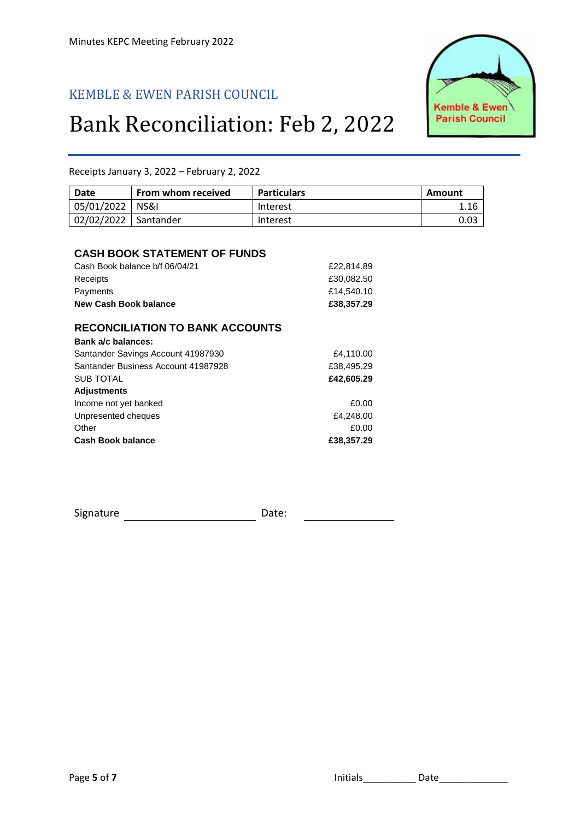# KEMBLE & EWEN PARISH COUNCIL

# Bank Reconciliation: Feb 2, 2022



Receipts January 3, 2022 – February 2, 2022

| 0.03 |
|------|
|      |

#### **CASH BOOK STATEMENT OF FUNDS**

| New Cash Book balance          | £38,357,29 |
|--------------------------------|------------|
| Payments                       | £14,540,10 |
| Receipts                       | £30.082.50 |
| Cash Book balance b/f 06/04/21 | £22,814.89 |

### **RECONCILIATION TO BANK ACCOUNTS**

| Santander Savings Account 41987930<br>Santander Business Account 41987928<br><b>SUB TOTAL</b><br><b>Adjustments</b><br>Income not yet banked<br>Unpresented cheques<br>Other |            |
|------------------------------------------------------------------------------------------------------------------------------------------------------------------------------|------------|
|                                                                                                                                                                              | £4,110.00  |
|                                                                                                                                                                              | £38,495.29 |
|                                                                                                                                                                              | £42,605.29 |
|                                                                                                                                                                              |            |
|                                                                                                                                                                              | £0.00      |
|                                                                                                                                                                              | £4,248.00  |
|                                                                                                                                                                              | £0.00      |
| <b>Cash Book balance</b>                                                                                                                                                     | £38,357.29 |

Signature Date: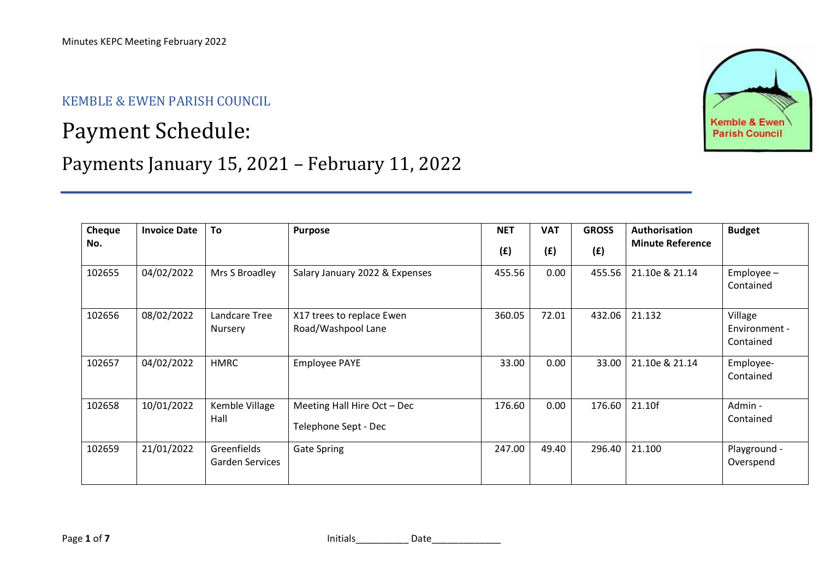# KEMBLE & EWEN PARISH COUNCIL

# Payment Schedule:

# Payments January 15, 2021 – February 11, 2022





Page **1** of **7** Initials\_\_\_\_\_\_\_\_\_\_ Date\_\_\_\_\_\_\_\_\_\_\_\_\_